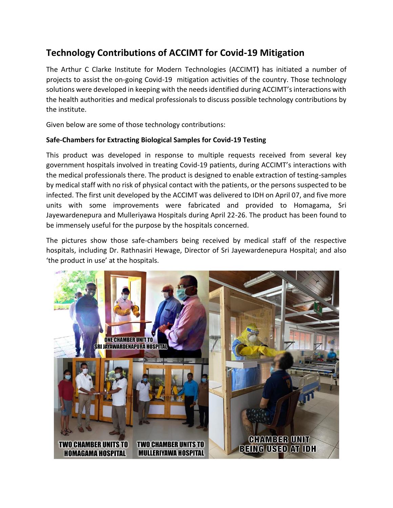# **Technology Contributions of ACCIMT for Covid-19 Mitigation**

The Arthur C Clarke Institute for Modern Technologies (ACCIMT**)** has initiated a number of projects to assist the on-going Covid-19 mitigation activities of the country. Those technology solutions were developed in keeping with the needs identified during ACCIMT's interactions with the health authorities and medical professionals to discuss possible technology contributions by the institute.

Given below are some of those technology contributions:

## **Safe-Chambers for Extracting Biological Samples for Covid-19 Testing**

This product was developed in response to multiple requests received from several key government hospitals involved in treating Covid-19 patients, during ACCIMT's interactions with the medical professionals there. The product is designed to enable extraction of testing-samples by medical staff with no risk of physical contact with the patients, or the persons suspected to be infected. The first unit developed by the ACCIMT was delivered to IDH on April 07, and five more units with some improvements were fabricated and provided to Homagama, Sri Jayewardenepura and Mulleriyawa Hospitals during April 22-26. The product has been found to be immensely useful for the purpose by the hospitals concerned.

The pictures show those safe-chambers being received by medical staff of the respective hospitals, including Dr. Rathnasiri Hewage, Director of Sri Jayewardenepura Hospital; and also 'the product in use' at the hospitals.

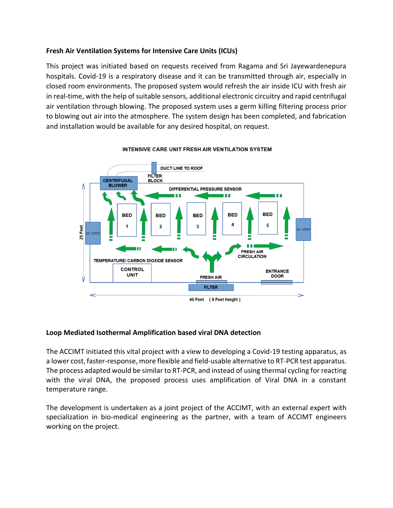## **Fresh Air Ventilation Systems for Intensive Care Units (ICUs)**

This project was initiated based on requests received from Ragama and Sri Jayewardenepura hospitals. Covid-19 is a respiratory disease and it can be transmitted through air, especially in closed room environments. The proposed system would refresh the air inside ICU with fresh air in real-time, with the help of suitable sensors, additional electronic circuitry and rapid centrifugal air ventilation through blowing. The proposed system uses a germ killing filtering process prior to blowing out air into the atmosphere. The system design has been completed, and fabrication and installation would be available for any desired hospital, on request.



#### INTENSIVE CARE UNIT FRESH AIR VENTILATION SYSTEM

#### **Loop Mediated Isothermal Amplification based viral DNA detection**

The ACCIMT initiated this vital project with a view to developing a Covid-19 testing apparatus, as a lower cost, faster-response, more flexible and field-usable alternative to RT-PCR test apparatus. The process adapted would be similar to RT-PCR, and instead of using thermal cycling for reacting with the viral DNA, the proposed process uses amplification of Viral DNA in a constant temperature range.

The development is undertaken as a joint project of the ACCIMT, with an external expert with specialization in bio-medical engineering as the partner, with a team of ACCIMT engineers working on the project.